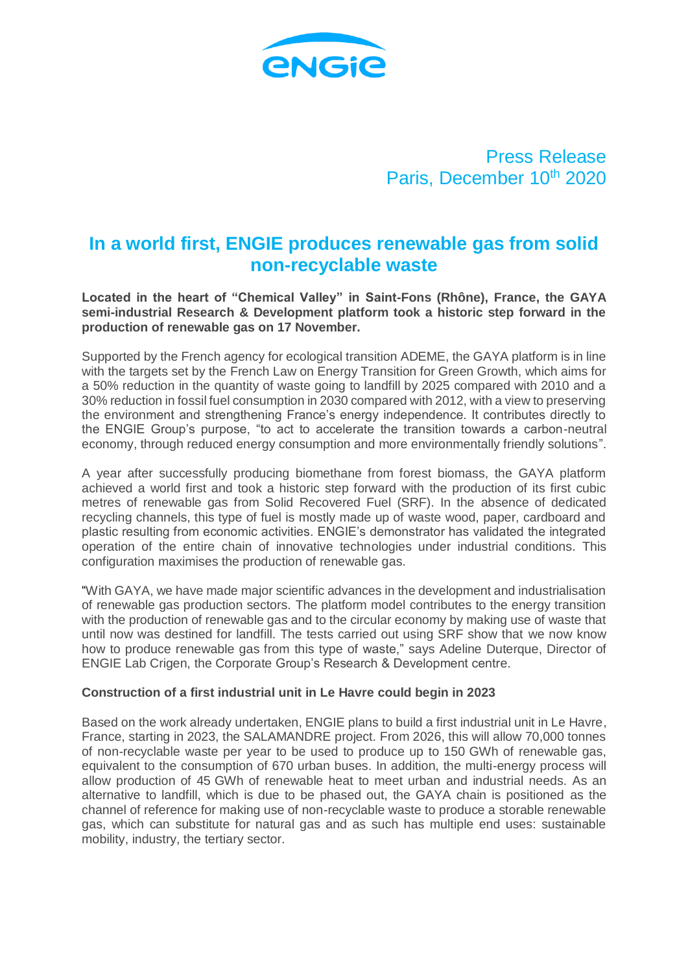

Press Release Paris, December 10th 2020

# **In a world first, ENGIE produces renewable gas from solid non-recyclable waste**

**Located in the heart of "Chemical Valley" in Saint-Fons (Rhône), France, the GAYA semi-industrial Research & Development platform took a historic step forward in the production of renewable gas on 17 November.**

Supported by the French agency for ecological transition ADEME, the GAYA platform is in line with the targets set by the French Law on Energy Transition for Green Growth, which aims for a 50% reduction in the quantity of waste going to landfill by 2025 compared with 2010 and a 30% reduction in fossil fuel consumption in 2030 compared with 2012, with a view to preserving the environment and strengthening France's energy independence. It contributes directly to the ENGIE Group's purpose, "to act to accelerate the transition towards a carbon-neutral economy, through reduced energy consumption and more environmentally friendly solutions".

A year after successfully producing biomethane from forest biomass, the GAYA platform achieved a world first and took a historic step forward with the production of its first cubic metres of renewable gas from Solid Recovered Fuel (SRF). In the absence of dedicated recycling channels, this type of fuel is mostly made up of waste wood, paper, cardboard and plastic resulting from economic activities. ENGIE's demonstrator has validated the integrated operation of the entire chain of innovative technologies under industrial conditions. This configuration maximises the production of renewable gas.

"With GAYA, we have made major scientific advances in the development and industrialisation of renewable gas production sectors. The platform model contributes to the energy transition with the production of renewable gas and to the circular economy by making use of waste that until now was destined for landfill. The tests carried out using SRF show that we now know how to produce renewable gas from this type of waste," says Adeline Duterque, Director of ENGIE Lab Crigen, the Corporate Group's Research & Development centre.

## **Construction of a first industrial unit in Le Havre could begin in 2023**

Based on the work already undertaken, ENGIE plans to build a first industrial unit in Le Havre, France, starting in 2023, the SALAMANDRE project. From 2026, this will allow 70,000 tonnes of non-recyclable waste per year to be used to produce up to 150 GWh of renewable gas, equivalent to the consumption of 670 urban buses. In addition, the multi-energy process will allow production of 45 GWh of renewable heat to meet urban and industrial needs. As an alternative to landfill, which is due to be phased out, the GAYA chain is positioned as the channel of reference for making use of non-recyclable waste to produce a storable renewable gas, which can substitute for natural gas and as such has multiple end uses: sustainable mobility, industry, the tertiary sector.